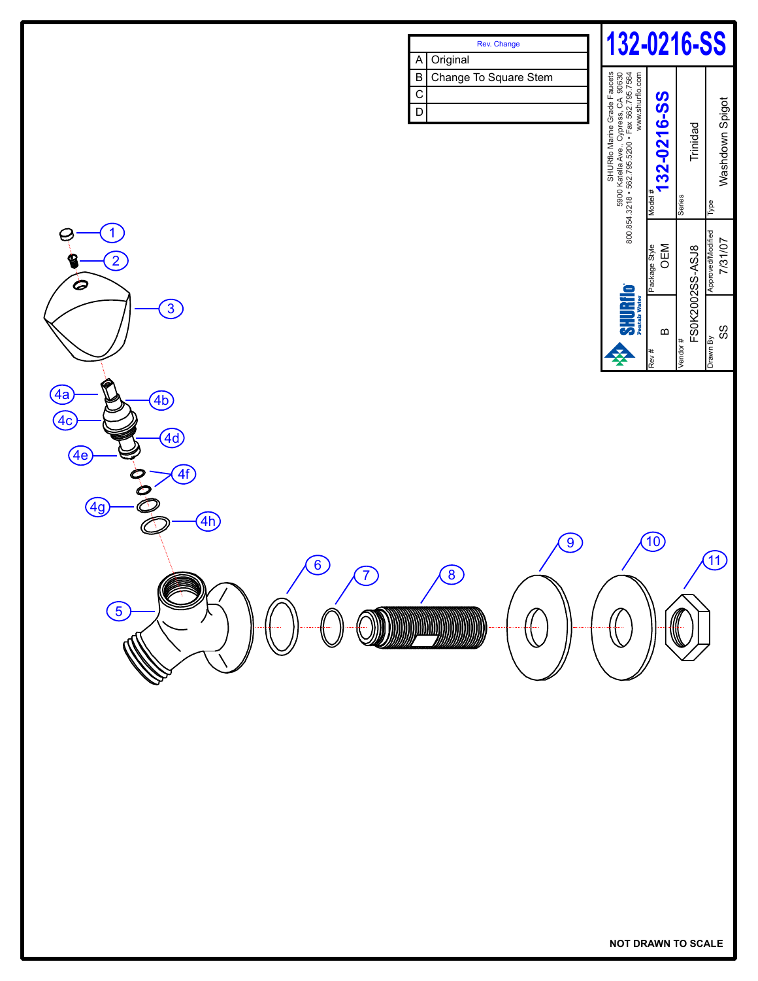